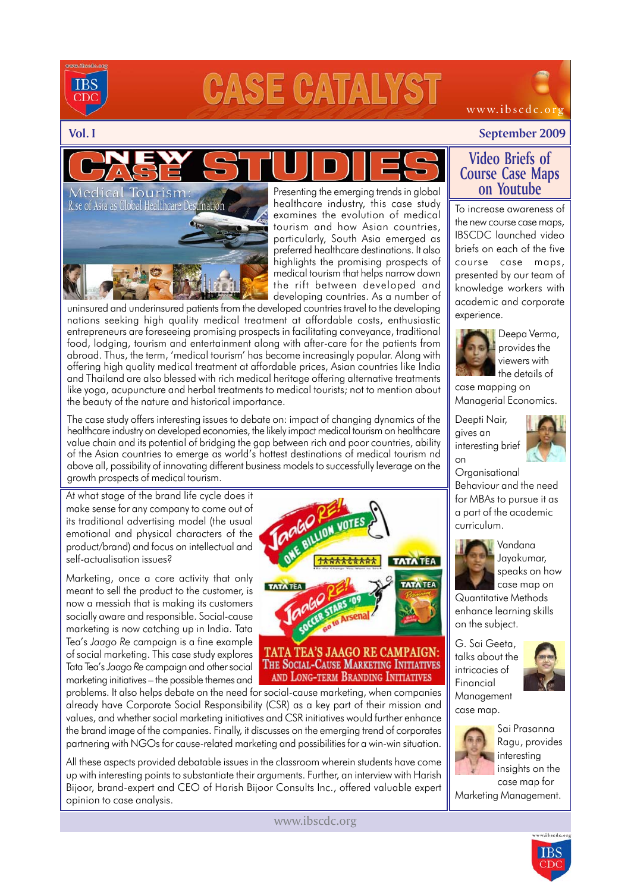

# **CASE CATALYS**

### **Vol. I September 2009**

www.ibscdc.org

Presenting the emerging trends in global Rise of Asia as Global Healthcare Destination healthcare industry, this case study examines the evolution of medical tourism and how Asian countries, particularly, South Asia emerged as preferred healthcare destinations. It also highlights the promising prospects of medical tourism that helps narrow down the rift between developed and developing countries. As a number of

uninsured and underinsured patients from the developed countries travel to the developing nations seeking high quality medical treatment at affordable costs, enthusiastic entrepreneurs are foreseeing promising prospects in facilitating conveyance, traditional food, lodging, tourism and entertainment along with after-care for the patients from abroad. Thus, the term, 'medical tourism' has become increasingly popular. Along with offering high quality medical treatment at affordable prices, Asian countries like India and Thailand are also blessed with rich medical heritage offering alternative treatments like yoga, acupuncture and herbal treatments to medical tourists; not to mention about the beauty of the nature and historical importance.

The case study offers interesting issues to debate on: impact of changing dynamics of the healthcare industry on developed economies, the likely impact medical tourism on healthcare value chain and its potential of bridging the gap between rich and poor countries, ability of the Asian countries to emerge as world's hottest destinations of medical tourism nd above all, possibility of innovating different business models to successfully leverage on the growth prospects of medical tourism.

At what stage of the brand life cycle does it make sense for any company to come out of its traditional advertising model (the usual emotional and physical characters of the product/brand) and focus on intellectual and self-actualisation issues?

Tourism

Marketing, once a core activity that only meant to sell the product to the customer, is now a messiah that is making its customers socially aware and responsible. Social-cause marketing is now catching up in India. Tata Tea's *Jaago Re* campaign is a fine example of social marketing. This case study explores Tata Tea's *Jaago Re* campaign and other social marketing initiatives – the possible themes and

problems. It also helps debate on the need for social-cause marketing, when companies already have Corporate Social Responsibility (CSR) as a key part of their mission and values, and whether social marketing initiatives and CSR initiatives would further enhance the brand image of the companies. Finally, it discusses on the emerging trend of corporates partnering with NGOs for cause-related marketing and possibilities for a win-win situation.

All these aspects provided debatable issues in the classroom wherein students have come up with interesting points to substantiate their arguments. Further, an interview with Harish Bijoor, brand-expert and CEO of Harish Bijoor Consults Inc., offered valuable expert opinion to case analysis.

# **TATA TEA TATA TEA** TATA TEA'S JAAGO RE CAMPAIGN:

THE SOCIAL-CAUSE MARKETING INITIATIVES AND LONG-TERM BRANDING INITIATIVES

To increase awareness of **Video Briefs of Course Case Maps on Youtube**

the new course case maps, IBSCDC launched video briefs on each of the five course case maps, presented by our team of knowledge workers with academic and corporate experience.



Deepa Verma, provides the viewers with the details of

case mapping on Managerial Economics.

Deepti Nair, gives an interesting brief on



**Organisational** Behaviour and the need for MBAs to pursue it as a part of the academic curriculum.

> Vandana Jayakumar, speaks on how case map on

Quantitative Methods enhance learning skills on the subject.

G. Sai Geeta, talks about the intricacies of Financial Management case map.





Sai Prasanna Ragu, provides interesting insights on the case map for

Marketing Management.





www.ibscdc.org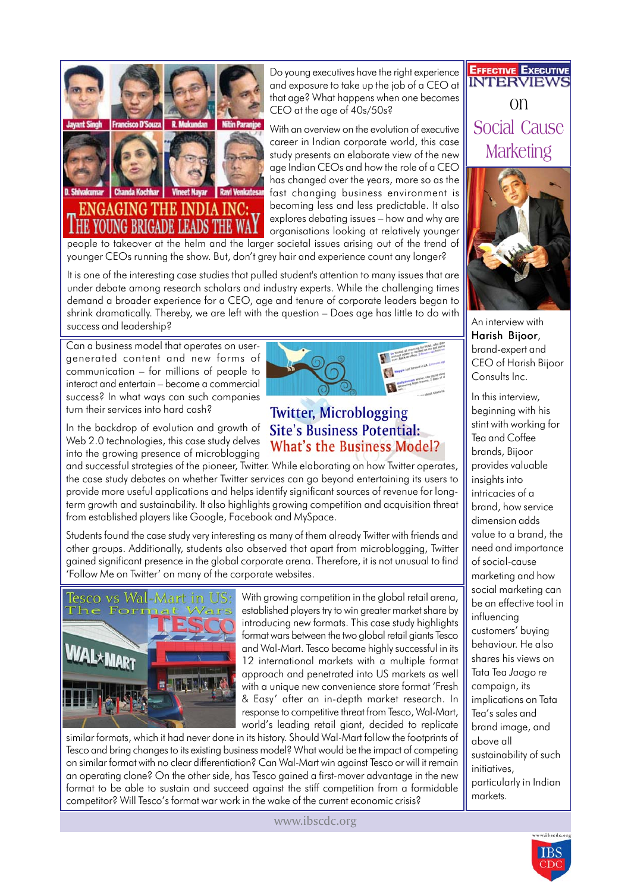

### ENGAGING THE INDIA INC: **TOUNG BRIGADE LEADS**

Do young executives have the right experience and exposure to take up the job of a CEO at that age? What happens when one becomes CEO at the age of 40s/50s?

With an overview on the evolution of executive career in Indian corporate world, this case study presents an elaborate view of the new age Indian CEOs and how the role of a CEO has changed over the years, more so as the fast changing business environment is becoming less and less predictable. It also explores debating issues – how and why are organisations looking at relatively younger

people to takeover at the helm and the larger societal issues arising out of the trend of younger CEOs running the show. But, don't grey hair and experience count any longer?

It is one of the interesting case studies that pulled student's attention to many issues that are under debate among research scholars and industry experts. While the challenging times demand a broader experience for a CEO, age and tenure of corporate leaders began to shrink dramatically. Thereby, we are left with the question – Does age has little to do with success and leadership?

Can a business model that operates on usergenerated content and new forms of communication – for millions of people to interact and entertain – become a commercial success? In what ways can such companies turn their services into hard cash?

In the backdrop of evolution and growth of Web 2.0 technologies, this case study delves into the growing presence of microblogging

and successful strategies of the pioneer, Twitter. While elaborating on how Twitter operates, the case study debates on whether Twitter services can go beyond entertaining its users to provide more useful applications and helps identify significant sources of revenue for longterm growth and sustainability. It also highlights growing competition and acquisition threat from established players like Google, Facebook and MySpace.

Students found the case study very interesting as many of them already Twitter with friends and other groups. Additionally, students also observed that apart from microblogging, Twitter gained significant presence in the global corporate arena. Therefore, it is not unusual to find 'Follow Me on Twitter' on many of the corporate websites.



With growing competition in the global retail arena, established players try to win greater market share by introducing new formats. This case study highlights format wars between the two global retail giants Tesco and Wal-Mart. Tesco became highly successful in its 12 international markets with a multiple format approach and penetrated into US markets as well with a unique new convenience store format 'Fresh & Easy' after an in-depth market research. In response to competitive threat from Tesco, Wal-Mart, world's leading retail giant, decided to replicate

similar formats, which it had never done in its history. Should Wal-Mart follow the footprints of Tesco and bring changes to its existing business model? What would be the impact of competing on similar format with no clear differentiation? Can Wal-Mart win against Tesco or will it remain an operating clone? On the other side, has Tesco gained a first-mover advantage in the new format to be able to sustain and succeed against the stiff competition from a formidable competitor? Will Tesco's format war work in the wake of the current economic crisis?

**EFFECTIVE EXECUTIVE INTERVIEW** on Social Cause **Marketing** 



An interview with Harish Bijoor, brand-expert and CEO of Harish Bijoor Consults Inc.

In this interview, beginning with his stint with working for Tea and Coffee brands, Bijoor provides valuable insights into intricacies of a brand, how service dimension adds value to a brand, the need and importance of social-cause marketing and how social marketing can be an effective tool in influencing customers' buying behaviour. He also shares his views on Tata Tea *Jaago re* campaign, its implications on Tata Tea's sales and brand image, and above all sustainability of such initiatives, particularly in Indian markets.



## **Site's Business Potential: What's the Business Model?**

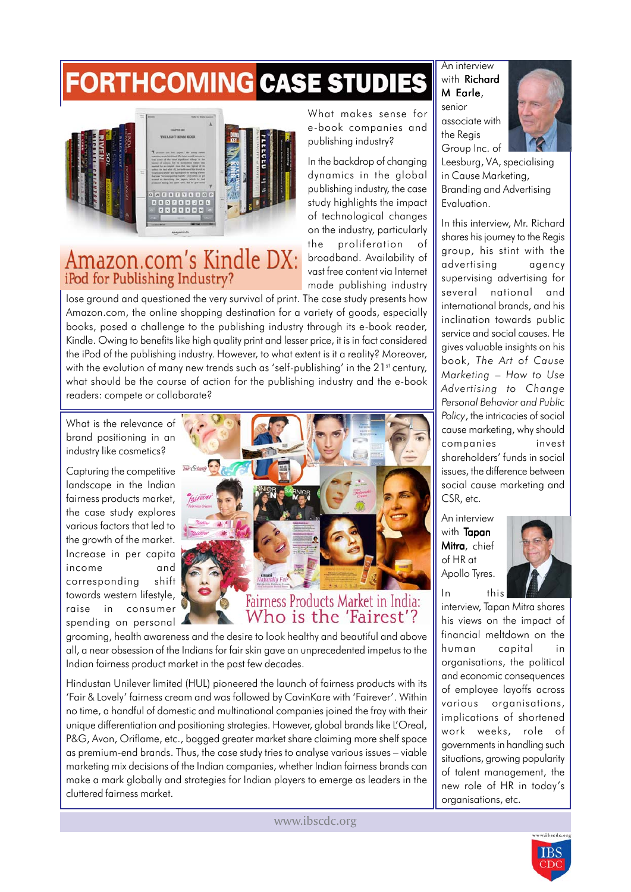## **FORTHCOMING CASE STUDIES**



### Amazon.com's Kindle DX: iPod for Publishing Industry?

lose ground and questioned the very survival of print. The case study presents how Amazon.com, the online shopping destination for a variety of goods, especially books, posed a challenge to the publishing industry through its e-book reader, Kindle. Owing to benefits like high quality print and lesser price, it is in fact considered the iPod of the publishing industry. However, to what extent is it a reality? Moreover, with the evolution of many new trends such as 'self-publishing' in the  $21^{st}$  century, what should be the course of action for the publishing industry and the e-book readers: compete or collaborate?

What is the relevance of brand positioning in an industry like cosmetics?

Capturing the competitive landscape in the Indian fairness products market, the case study explores various factors that led to the growth of the market. Increase in per capita income and corresponding shift towards western lifestyle, raise in consumer spending on personal



Fairness Products Market in India: Who is the 'Fairest'?

grooming, health awareness and the desire to look healthy and beautiful and above all, a near obsession of the Indians for fair skin gave an unprecedented impetus to the Indian fairness product market in the past few decades.

Hindustan Unilever limited (HUL) pioneered the launch of fairness products with its 'Fair & Lovely' fairness cream and was followed by CavinKare with 'Fairever'. Within no time, a handful of domestic and multinational companies joined the fray with their unique differentiation and positioning strategies. However, global brands like L'Oreal, P&G, Avon, Oriflame, etc., bagged greater market share claiming more shelf space as premium-end brands. Thus, the case study tries to analyse various issues – viable marketing mix decisions of the Indian companies, whether Indian fairness brands can make a mark globally and strategies for Indian players to emerge as leaders in the cluttered fairness market.

www.ibscdc.org

An interview with Richard M Earle, senior

associate with the Regis

What makes sense for e-book companies and

publishing industry, the case

broadband. Availability of vast free content via Internet made publishing industry

publishing industry?



Leesburg, VA, specialising in Cause Marketing, Branding and Advertising Evaluation.

In this interview, Mr. Richard shares his journey to the Regis group, his stint with the advertising agency supervising advertising for several national and international brands, and his inclination towards public service and social causes. He gives valuable insights on his book, *The Art of Cause Marketing* – *How to Use Advertising to Change Personal Behavior and Public Policy*, the intricacies of social cause marketing, why should companies invest shareholders' funds in social issues, the difference between social cause marketing and CSR, etc.

An interview with Tapan Mitra, chief of HR at Apollo Tyres. In this



interview, Tapan Mitra shares his views on the impact of financial meltdown on the human capital in organisations, the political and economic consequences of employee layoffs across various organisations, implications of shortened work weeks, role of governments in handling such situations, growing popularity of talent management, the new role of HR in today's organisations, etc.